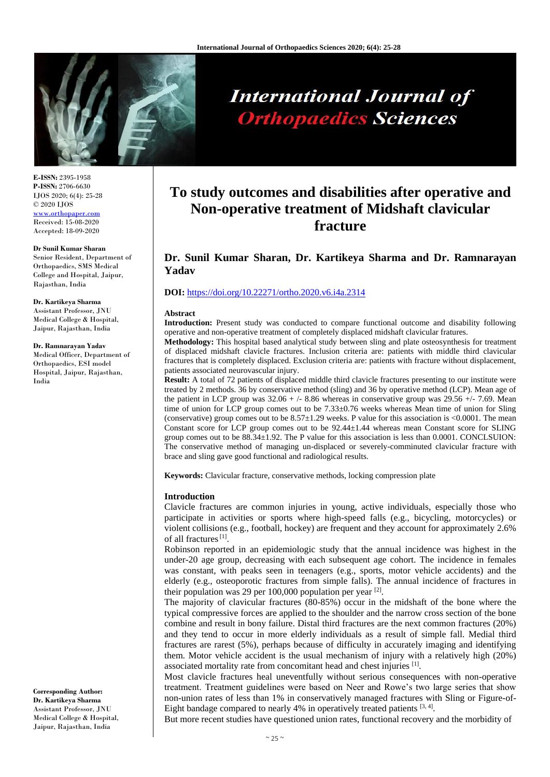

# **International Journal of Orthopaedics Sciences**

**E-ISSN:** 2395-1958 **P-ISSN:** 2706-6630 IJOS 2020; 6(4): 25-28 © 2020 IJOS www.orthopape Received: 15-08-2020 Accepted: 18-09-2020

#### **Dr Sunil Kumar Sharan**

Senior Resident, Department of Orthopaedics, SMS Medical College and Hospital, Jaipur, Rajasthan, India

#### **Dr. Kartikeya Sharma**

Assistant Professor, JNU Medical College & Hospital, Jaipur, Rajasthan, India

#### **Dr. Ramnarayan Yadav**

Medical Officer, Department of Orthopaedics, ESI model Hospital, Jaipur, Rajasthan, India

**Corresponding Author: Dr. Kartikeya Sharma** Assistant Professor, JNU Medical College & Hospital, Jaipur, Rajasthan, India

# **To study outcomes and disabilities after operative and Non-operative treatment of Midshaft clavicular fracture**

# **Dr. Sunil Kumar Sharan, Dr. Kartikeya Sharma and Dr. Ramnarayan Yadav**

## **DOI:** <https://doi.org/10.22271/ortho.2020.v6.i4a.2314>

#### **Abstract**

**Introduction:** Present study was conducted to compare functional outcome and disability following operative and non-operative treatment of completely displaced midshaft clavicular fratures.

**Methodology:** This hospital based analytical study between sling and plate osteosynthesis for treatment of displaced midshaft clavicle fractures. Inclusion criteria are: patients with middle third clavicular fractures that is completely displaced. Exclusion criteria are: patients with fracture without displacement, patients associated neurovascular injury.

**Result:** A total of 72 patients of displaced middle third clavicle fractures presenting to our institute were treated by 2 methods. 36 by conservative method (sling) and 36 by operative method (LCP). Mean age of the patient in LCP group was  $32.06 + (-8.86)$  whereas in conservative group was  $29.56 + (-7.69)$ . Mean time of union for LCP group comes out to be 7.33±0.76 weeks whereas Mean time of union for Sling (conservative) group comes out to be 8.57±1.29 weeks. P value for this association is <0.0001. The mean Constant score for LCP group comes out to be 92.44±1.44 whereas mean Constant score for SLING group comes out to be 88.34±1.92. The P value for this association is less than 0.0001. CONCLSUION: The conservative method of managing un-displaced or severely-comminuted clavicular fracture with brace and sling gave good functional and radiological results.

**Keywords:** Clavicular fracture, conservative methods, locking compression plate

# **Introduction**

Clavicle fractures are common injuries in young, active individuals, especially those who participate in activities or sports where high-speed falls (e.g., bicycling, motorcycles) or violent collisions (e.g., football, hockey) are frequent and they account for approximately 2.6% of all fractures<sup>[1]</sup>.

Robinson reported in an epidemiologic study that the annual incidence was highest in the under-20 age group, decreasing with each subsequent age cohort. The incidence in females was constant, with peaks seen in teenagers (e.g., sports, motor vehicle accidents) and the elderly (e.g., osteoporotic fractures from simple falls). The annual incidence of fractures in their population was 29 per 100,000 population per year  $^{[2]}$ .

The majority of clavicular fractures (80-85%) occur in the midshaft of the bone where the typical compressive forces are applied to the shoulder and the narrow cross section of the bone combine and result in bony failure. Distal third fractures are the next common fractures (20%) and they tend to occur in more elderly individuals as a result of simple fall. Medial third fractures are rarest (5%), perhaps because of difficulty in accurately imaging and identifying them. Motor vehicle accident is the usual mechanism of injury with a relatively high (20%) associated mortality rate from concomitant head and chest injuries [1].

Most clavicle fractures heal uneventfully without serious consequences with non-operative treatment. Treatment guidelines were based on Neer and Rowe's two large series that show non-union rates of less than 1% in conservatively managed fractures with Sling or Figure-of-Eight bandage compared to nearly 4% in operatively treated patients  $[3, 4]$ .

But more recent studies have questioned union rates, functional recovery and the morbidity of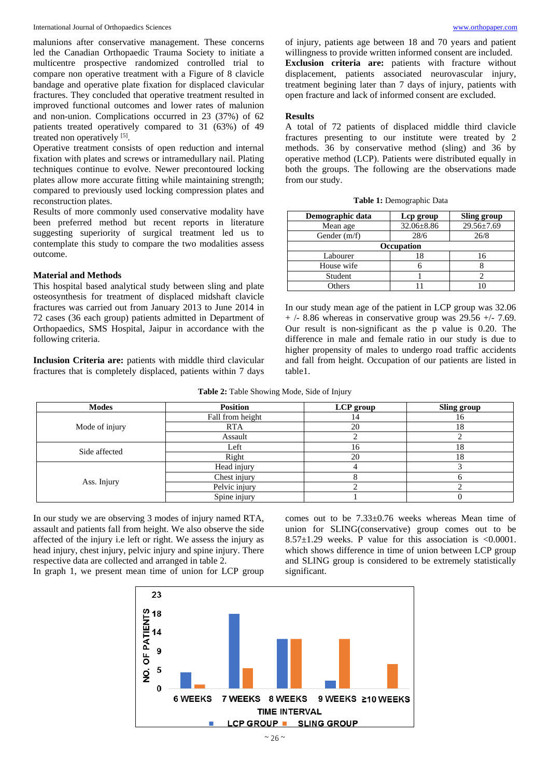malunions after conservative management. These concerns led the Canadian Orthopaedic Trauma Society to initiate a multicentre prospective randomized controlled trial to compare non operative treatment with a Figure of 8 clavicle bandage and operative plate fixation for displaced clavicular fractures. They concluded that operative treatment resulted in improved functional outcomes and lower rates of malunion and non-union. Complications occurred in 23 (37%) of 62 patients treated operatively compared to 31 (63%) of 49 treated non operatively [5].

Operative treatment consists of open reduction and internal fixation with plates and screws or intramedullary nail. Plating techniques continue to evolve. Newer precontoured locking plates allow more accurate fitting while maintaining strength; compared to previously used locking compression plates and reconstruction plates.

Results of more commonly used conservative modality have been preferred method but recent reports in literature suggesting superiority of surgical treatment led us to contemplate this study to compare the two modalities assess outcome.

### **Material and Methods**

This hospital based analytical study between sling and plate osteosynthesis for treatment of displaced midshaft clavicle fractures was carried out from January 2013 to June 2014 in 72 cases (36 each group) patients admitted in Department of Orthopaedics, SMS Hospital, Jaipur in accordance with the following criteria.

**Inclusion Criteria are:** patients with middle third clavicular fractures that is completely displaced, patients within 7 days of injury, patients age between 18 and 70 years and patient willingness to provide written informed consent are included. **Exclusion criteria are:** patients with fracture without displacement, patients associated neurovascular injury, treatment begining later than 7 days of injury, patients with open fracture and lack of informed consent are excluded.

# **Results**

A total of 72 patients of displaced middle third clavicle fractures presenting to our institute were treated by 2 methods. 36 by conservative method (sling) and 36 by operative method (LCP). Patients were distributed equally in both the groups. The following are the observations made from our study.

| Table 1: Demographic Data |  |
|---------------------------|--|
|---------------------------|--|

| Demographic data  | Lep group        | Sling group      |  |  |
|-------------------|------------------|------------------|--|--|
| Mean age          | $32.06 \pm 8.86$ | $29.56 \pm 7.69$ |  |  |
| Gender $(m/f)$    | 28/6             | 26/8             |  |  |
| <b>Occupation</b> |                  |                  |  |  |
| Labourer          | 18               |                  |  |  |
| House wife        |                  |                  |  |  |
| Student           |                  |                  |  |  |
| <b>Others</b>     |                  |                  |  |  |

In our study mean age of the patient in LCP group was 32.06  $+$  /- 8.86 whereas in conservative group was 29.56  $+$ /- 7.69. Our result is non-significant as the p value is 0.20. The difference in male and female ratio in our study is due to higher propensity of males to undergo road traffic accidents and fall from height. Occupation of our patients are listed in table1.

| <b>Modes</b>   | <b>Position</b>  | LCP group | Sling group |
|----------------|------------------|-----------|-------------|
| Mode of injury | Fall from height |           | 16          |
|                | <b>RTA</b>       | 20        | 18          |
|                | Assault          |           |             |
| Side affected  | Left             | 16        | 18          |
|                | Right            | 20        | 18          |
| Ass. Injury    | Head injury      |           |             |
|                | Chest injury     |           |             |
|                | Pelvic injury    |           |             |
|                | Spine injury     |           |             |

**Table 2:** Table Showing Mode, Side of Injury

In our study we are observing 3 modes of injury named RTA, assault and patients fall from height. We also observe the side affected of the injury i.e left or right. We assess the injury as head injury, chest injury, pelvic injury and spine injury. There respective data are collected and arranged in table 2.

In graph 1, we present mean time of union for LCP group

comes out to be 7.33±0.76 weeks whereas Mean time of union for SLING(conservative) group comes out to be 8.57 $\pm$ 1.29 weeks. P value for this association is <0.0001. which shows difference in time of union between LCP group and SLING group is considered to be extremely statistically significant.

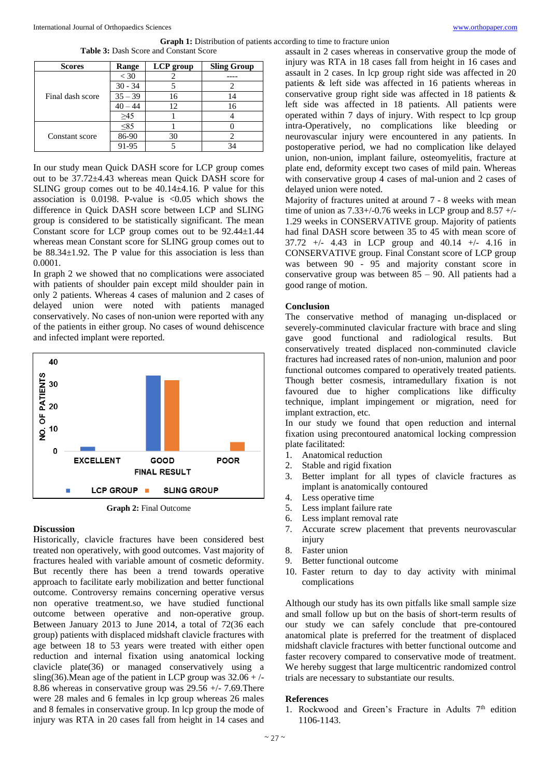### **Graph 1:** Distribution of patients according to time to fracture union

|  |  |  |  | <b>Table 3:</b> Dash Score and Constant Score |  |
|--|--|--|--|-----------------------------------------------|--|
|--|--|--|--|-----------------------------------------------|--|

| <b>Scores</b>    | Range     | LCP group | <b>Sling Group</b> |
|------------------|-----------|-----------|--------------------|
| Final dash score | $<$ 30    |           |                    |
|                  | $30 - 34$ |           |                    |
|                  | $35 - 39$ | 16        |                    |
|                  | 40 – 44   | 12        | 16                 |
|                  | $\geq 45$ |           |                    |
| Constant score   | $\leq 85$ |           |                    |
|                  | 86-90     | 30        |                    |
|                  | 91-95     |           |                    |

In our study mean Quick DASH score for LCP group comes out to be 37.72±4.43 whereas mean Quick DASH score for SLING group comes out to be  $40.14 \pm 4.16$ . P value for this association is 0.0198. P-value is  $\langle 0.05 \rangle$  which shows the difference in Quick DASH score between LCP and SLING group is considered to be statistically significant. The mean Constant score for LCP group comes out to be 92.44±1.44 whereas mean Constant score for SLING group comes out to be 88.34±1.92. The P value for this association is less than 0.0001.

In graph 2 we showed that no complications were associated with patients of shoulder pain except mild shoulder pain in only 2 patients. Whereas 4 cases of malunion and 2 cases of delayed union were noted with patients managed conservatively. No cases of non-union were reported with any of the patients in either group. No cases of wound dehiscence and infected implant were reported.



**Graph 2:** Final Outcome

# **Discussion**

Historically, clavicle fractures have been considered best treated non operatively, with good outcomes. Vast majority of fractures healed with variable amount of cosmetic deformity. But recently there has been a trend towards operative approach to facilitate early mobilization and better functional outcome. Controversy remains concerning operative versus non operative treatment.so, we have studied functional outcome between operative and non-operative group. Between January 2013 to June 2014, a total of 72(36 each group) patients with displaced midshaft clavicle fractures with age between 18 to 53 years were treated with either open reduction and internal fixation using anatomical locking clavicle plate(36) or managed conservatively using a sling(36). Mean age of the patient in LCP group was  $32.06 +/-$ 8.86 whereas in conservative group was 29.56 +/- 7.69.There were 28 males and 6 females in lcp group whereas 26 males and 8 females in conservative group. In lcp group the mode of injury was RTA in 20 cases fall from height in 14 cases and

assault in 2 cases whereas in conservative group the mode of injury was RTA in 18 cases fall from height in 16 cases and assault in 2 cases. In lcp group right side was affected in 20 patients & left side was affected in 16 patients whereas in conservative group right side was affected in 18 patients & left side was affected in 18 patients. All patients were operated within 7 days of injury. With respect to lcp group intra-Operatively, no complications like bleeding or neurovascular injury were encountered in any patients. In postoperative period, we had no complication like delayed union, non-union, implant failure, osteomyelitis, fracture at plate end, deformity except two cases of mild pain. Whereas with conservative group 4 cases of mal-union and 2 cases of delayed union were noted.

Majority of fractures united at around 7 - 8 weeks with mean time of union as  $7.33+/0.76$  weeks in LCP group and  $8.57 +$ /-1.29 weeks in CONSERVATIVE group. Majority of patients had final DASH score between 35 to 45 with mean score of 37.72 +/- 4.43 in LCP group and 40.14 +/- 4.16 in CONSERVATIVE group. Final Constant score of LCP group was between 90 - 95 and majority constant score in conservative group was between 85 – 90. All patients had a good range of motion.

# **Conclusion**

The conservative method of managing un-displaced or severely-comminuted clavicular fracture with brace and sling gave good functional and radiological results. But conservatively treated displaced non-comminuted clavicle fractures had increased rates of non-union, malunion and poor functional outcomes compared to operatively treated patients. Though better cosmesis, intramedullary fixation is not favoured due to higher complications like difficulty technique, implant impingement or migration, need for implant extraction, etc.

In our study we found that open reduction and internal fixation using precontoured anatomical locking compression plate facilitated:

- 1. Anatomical reduction
- 2. Stable and rigid fixation
- 3. Better implant for all types of clavicle fractures as implant is anatomically contoured
- 4. Less operative time
- 5. Less implant failure rate
- 6. Less implant removal rate
- 7. Accurate screw placement that prevents neurovascular injury
- 8. Faster union
- 9. Better functional outcome
- 10. Faster return to day to day activity with minimal complications

Although our study has its own pitfalls like small sample size and small follow up but on the basis of short-term results of our study we can safely conclude that pre-contoured anatomical plate is preferred for the treatment of displaced midshaft clavicle fractures with better functional outcome and faster recovery compared to conservative mode of treatment. We hereby suggest that large multicentric randomized control trials are necessary to substantiate our results.

#### **References**

1. Rockwood and Green's Fracture in Adults 7<sup>th</sup> edition 1106-1143.